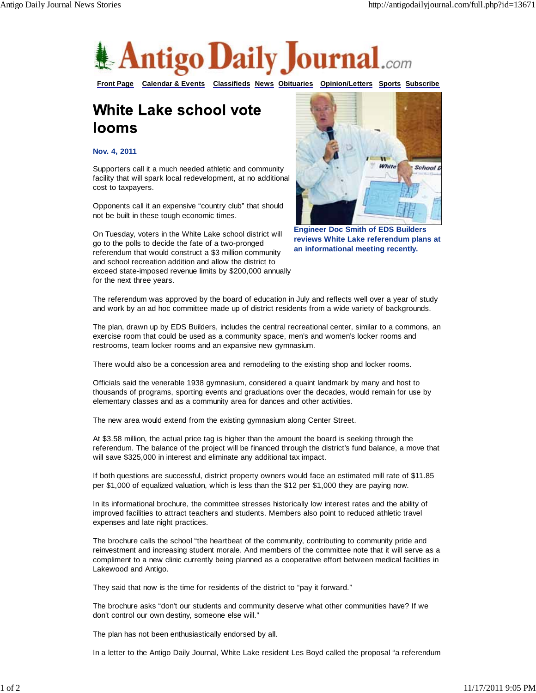

**Front Page Calendar & Events Classifieds News Obituaries Opinion/Letters Sports Subscribe**

## White Lake school vote **looms**

**Nov. 4, 2011**

Supporters call it a much needed athletic and community facility that will spark local redevelopment, at no additional cost to taxpayers.

Opponents call it an expensive "country club" that should not be built in these tough economic times.

On Tuesday, voters in the White Lake school district will go to the polls to decide the fate of a two-pronged referendum that would construct a \$3 million community and school recreation addition and allow the district to exceed state-imposed revenue limits by \$200,000 annually for the next three years.



**Engineer Doc Smith of EDS Builders reviews White Lake referendum plans at an informational meeting recently.**

The referendum was approved by the board of education in July and reflects well over a year of study and work by an ad hoc committee made up of district residents from a wide variety of backgrounds.

The plan, drawn up by EDS Builders, includes the central recreational center, similar to a commons, an exercise room that could be used as a community space, men's and women's locker rooms and restrooms, team locker rooms and an expansive new gymnasium.

There would also be a concession area and remodeling to the existing shop and locker rooms.

Officials said the venerable 1938 gymnasium, considered a quaint landmark by many and host to thousands of programs, sporting events and graduations over the decades, would remain for use by elementary classes and as a community area for dances and other activities.

The new area would extend from the existing gymnasium along Center Street.

At \$3.58 million, the actual price tag is higher than the amount the board is seeking through the referendum. The balance of the project will be financed through the district's fund balance, a move that will save \$325,000 in interest and eliminate any additional tax impact.

If both questions are successful, district property owners would face an estimated mill rate of \$11.85 per \$1,000 of equalized valuation, which is less than the \$12 per \$1,000 they are paying now.

In its informational brochure, the committee stresses historically low interest rates and the ability of improved facilities to attract teachers and students. Members also point to reduced athletic travel expenses and late night practices.

The brochure calls the school "the heartbeat of the community, contributing to community pride and reinvestment and increasing student morale. And members of the committee note that it will serve as a compliment to a new clinic currently being planned as a cooperative effort between medical facilities in Lakewood and Antigo.

They said that now is the time for residents of the district to "pay it forward."

The brochure asks "don't our students and community deserve what other communities have? If we don't control our own destiny, someone else will."

The plan has not been enthusiastically endorsed by all.

In a letter to the Antigo Daily Journal, White Lake resident Les Boyd called the proposal "a referendum